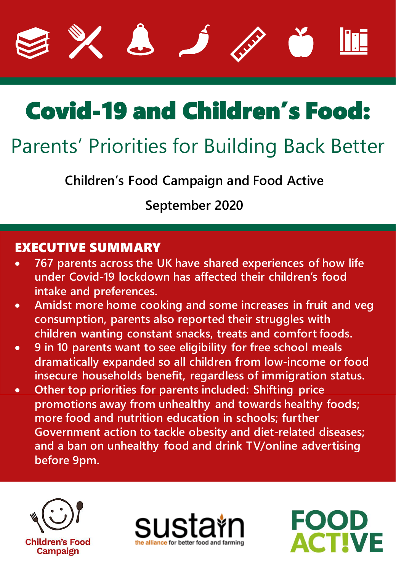









# Parents' Priorities for Building Back Better

**Children's Food Campaign and Food Active**

**September 2020**

### EXECUTIVE SUMMARY

- **767 parents across the UK have shared experiences of how life under Covid-19 lockdown has affected their children's food intake and preferences.**
- **Amidst more home cooking and some increases in fruit and veg consumption, parents also reported their struggles with children wanting constant snacks, treats and comfort foods.**
- **9 in 10 parents want to see eligibility for free school meals dramatically expanded so all children from low-income or food insecure households benefit, regardless of immigration status.**
- **Other top priorities for parents included: Shifting price promotions away from unhealthy and towards healthy foods; more food and nutrition education in schools; further Government action to tackle obesity and diet-related diseases; and a ban on unhealthy food and drink TV/online advertising before 9pm.**





FOOD

**ACTIVE**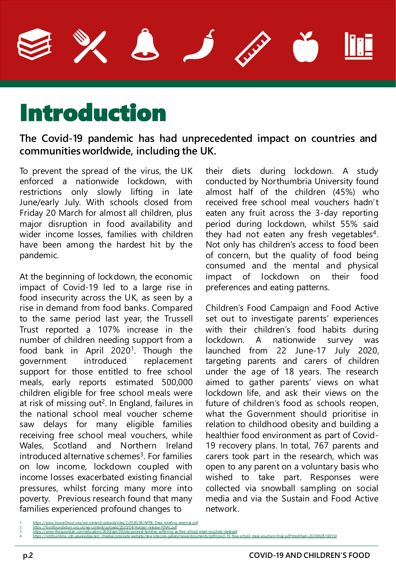# Introduction

#### **The Covid-19 pandemic has had unprecedented impact on countries and communities worldwide, including the UK.**

To prevent the spread of the virus, the UK enforced a nationwide lockdown, with restrictions only slowly lifting in late June/early July. With schools closed from Friday 20 March for almost all children, plus major disruption in food availability and wider income losses, families with children have been among the hardest hit by the pandemic.

At the beginning of lockdown, the economic impact of Covid-19 led to a large rise in food insecurity across the UK, as seen by a rise in demand from food banks. Compared to the same period last year, the Trussell Trust reported a 107% increase in the number of children needing support from a food bank in April 2020<sup>1</sup>. Though the government introduced replacement support for those entitled to free school meals, early reports estimated 500,000 children eligible for free school meals were at risk of missing out<sup>2</sup>. In England, failures in the national school meal voucher scheme saw delays for many eligible families receiving free school meal vouchers, while Wales, Scotland and Northern Ireland introduced alternative schemes<sup>3</sup>. For families on low income, lockdown coupled with income losses exacerbated existing financial pressures, whilst forcing many more into poverty. Previous research found that many families experienced profound changes to

their diets during lockdown. A study conducted by Northumbria University found almost half of the children (45%) who received free school meal vouchers hadn't eaten any fruit across the 3-day reporting period during lockdown, whilst 55% said they had not eaten any fresh vegetables<sup>4</sup>. Not only has children's access to food been of concern, but the quality of food being consumed and the mental and physical impact of lockdown on their food preferences and eating patterns.

Children's Food Campaign and Food Active set out to investigate parents' experiences with their children's food habits during lockdown. A nationwide survey was launched from 22 June-17 July 2020, targeting parents and carers of children under the age of 18 years. The research aimed to gather parents' views on what lockdown life, and ask their views on the future of children's food as schools reopen, what the Government should prioritise in relation to childhood obesity and building a healthier food environment as part of Covid-19 recovery plans. In total, 767 parents and carers took part in the research, which was open to any parent on a voluntary basis who wished to take part. Responses were collected via snowball sampling on social media and via the Sustain and Food Active network.

[https://www.trusselltrust.org/wp-content/uploads/sites/2/2020/06/APRIL-Data-briefing\\_external.pdf](https://www.trusselltrust.org/wp-content/uploads/sites/2/2020/06/APRIL-Data-briefing_external.pdf)

<sup>2.</sup> <https://foodfoundation.org.uk/wp-content/uploads/2020/04/Hunger-release-FINAL.pdf><br>3. <https://www.theguardian.com/education/2020/apr/09/uks-poorest-families-suffering-as-free-school-meal-vouchers-delayed>

<sup>4.</sup> <https://northumbria-cdn.azureedge.net/-/media/corporate-website/new-sitecore-gallery/news/documents/pdf/covid-19-free-school-meal-vouchers-final.pdf?modified=20200605160553>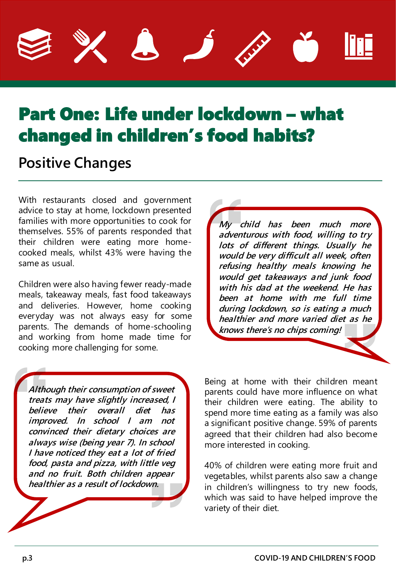

# Part One: Life under lockdown – what changed in children's food habits?

## **Positive Changes**

With restaurants closed and government advice to stay at home, lockdown presented families with more opportunities to cook for themselves. 55% of parents responded that their children were eating more homecooked meals, whilst 43% were having the same as usual.

Children were also having fewer ready-made meals, takeaway meals, fast food takeaways and deliveries. However, home cooking everyday was not always easy for some parents. The demands of home-schooling and working from home made time for cooking more challenging for some.

**Although their consumption of sweet treats may have slightly increased, I believe their overall diet has improved. In school I am not convinced their dietary choices are always wise (being year 7). In school I have noticed they eat <sup>a</sup> lot of fried food, pasta and pizza, with little veg and no fruit. Both children appear healthier as <sup>a</sup> result of lockdown.**

**My child has been much more adventurous with food, willing to try lots of different things. Usually he would be very difficult all week, often refusing healthy meals knowing he would get takeaways and junk food with his dad at the weekend. He has been at home with me full time during lockdown, so is eating <sup>a</sup> much healthier and more varied diet as he knows there's no chips coming!**

Being at home with their children meant parents could have more influence on what their children were eating. The ability to spend more time eating as a family was also a significant positive change. 59% of parents agreed that their children had also become more interested in cooking.

40% of children were eating more fruit and vegetables, whilst parents also saw a change in children's willingness to try new foods, which was said to have helped improve the variety of their diet.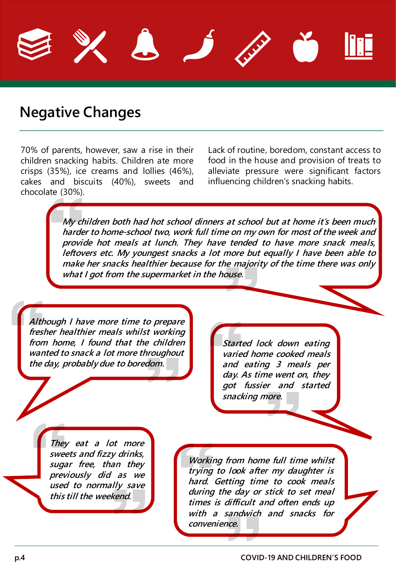

### **Negative Changes**

70% of parents, however, saw a rise in their children snacking habits. Children ate more crisps (35%), ice creams and lollies (46%), cakes and biscuits (40%), sweets and chocolate (30%).

Lack of routine, boredom, constant access to food in the house and provision of treats to alleviate pressure were significant factors influencing children's snacking habits.

**My children both had hot school dinners at school but at home it's been much harder to home-school two, work full time on my own for most of the week and provide hot meals at lunch. They have tended to have more snack meals, leftovers etc. My youngest snacks <sup>a</sup> lot more but equally I have been able to make her snacks healthier because for the majority of the time there was only what I got from the supermarket in the house.**

**Although I have more time to prepare fresher healthier meals whilst working from home, I found that the children wanted to snack <sup>a</sup> lot more throughout the day, probably due to boredom.**

**Started lock down eating varied home cooked meals and eating 3 meals per day. As time went on, they got fussier and started snacking more.**

**They eat <sup>a</sup> lot more sweets and fizzy drinks, sugar free, than they previously did as we used to normally save this till the weekend.**

**Working from home full time whilst trying to look after my daughter is hard. Getting time to cook meals during the day or stick to set meal times is difficult and often ends up with <sup>a</sup> sandwich and snacks for convenience.**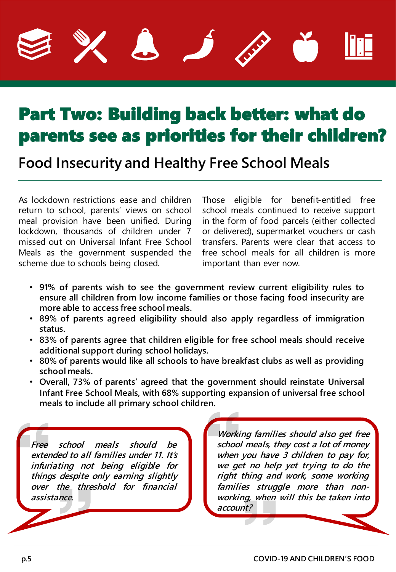

# Part Two: Building back better: what do parents see as priorities for their children?

**Food Insecurity and Healthy Free School Meals**

As lockdown restrictions ease and children return to school, parents' views on school meal provision have been unified. During lockdown, thousands of children under 7 missed out on Universal Infant Free School Meals as the government suspended the scheme due to schools being closed.

Those eligible for benefit-entitled free school meals continued to receive support in the form of food parcels (either collected or delivered), supermarket vouchers or cash transfers. Parents were clear that access to free school meals for all children is more important than ever now.

- **91% of parents wish to see the government review current eligibility rules to ensure all children from low income families or those facing food insecurity are more able to access free school meals.**
- **89% of parents agreed eligibility should also apply regardless of immigration status.**
- **83% of parents agree that children eligible for free school meals should receive additional support during school holidays.**
- **80% of parents would like all schools to have breakfast clubs as well as providing school meals.**
- **Overall, 73% of parents' agreed that the government should reinstate Universal Infant Free School Meals, with 68% supporting expansion of universal free school meals to include all primary school children.**

**Free school meals should be extended to all families under 11. It's infuriating not being eligible for things despite only earning slightly over the threshold for financial assistance.**

**Working families should also get free school meals, they cost <sup>a</sup> lot of money when you have 3 children to pay for, we get no help yet trying to do the right thing and work, some working families struggle more than nonworking, when will this be taken into account?**

n l

r 1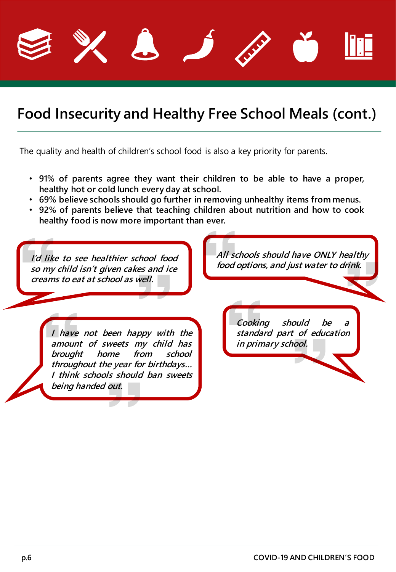

## **Food Insecurity and Healthy Free School Meals (cont.)**

The quality and health of children's school food is also a key priority for parents.

- **91% of parents agree they want their children to be able to have a proper, healthy hot or cold lunch every day at school.**
- **69% believe schools should go further in removing unhealthy items from menus.**
- **92% of parents believe that teaching children about nutrition and how to cook healthy food is now more important than ever.**

**I'd like to see healthier school food so my child isn't given cakes and ice creams to eat at school as well.**

**All schools should have ONLY healthy food options, and just water to drink.**

**I have not been happy with the amount of sweets my child has brought home from school throughout the year for birthdays… I think schools should ban sweets being handed out.**

**Cooking should be <sup>a</sup> standard part of education in primary school.**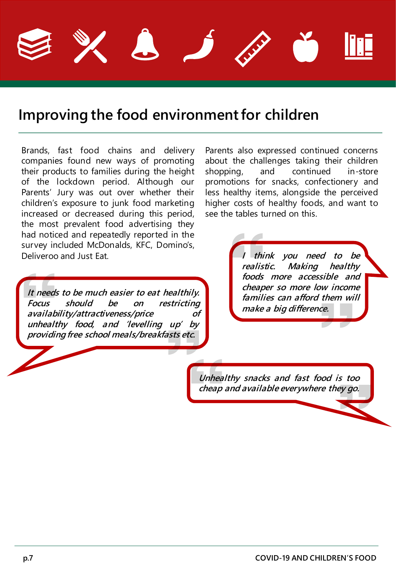

## **Improving the food environmentfor children**

Brands, fast food chains and delivery companies found new ways of promoting their products to families during the height of the lockdown period. Although our Parents' Jury was out over whether their children's exposure to junk food marketing increased or decreased during this period, the most prevalent food advertising they had noticed and repeatedly reported in the survey included McDonalds, KFC, Domino's, Deliveroo and Just Eat.

**It needs to be much easier to eat healthily. Focus should be on restricting availability/attractiveness/price of unhealthy food, and 'levelling up' by providing free school meals/breakfasts etc.**

Parents also expressed continued concerns about the challenges taking their children shopping, and continued in-store promotions for snacks, confectionery and less healthy items, alongside the perceived higher costs of healthy foods, and want to see the tables turned on this.

> **I think you need to be realistic. Making healthy foods more accessible and cheaper so more low income families can afford them will make <sup>a</sup> big difference.**

**Unhealthy snacks and fast food is too cheap and available everywhere they go.**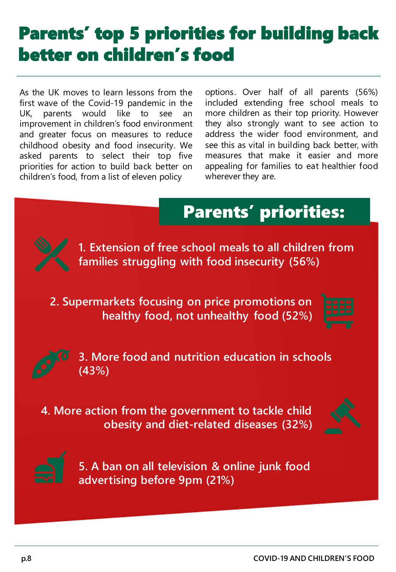# Parents' top 5 priorities for building back better on children's food

As the UK moves to learn lessons from the first wave of the Covid-19 pandemic in the UK, parents would like to see an improvement in children's food environment and greater focus on measures to reduce childhood obesity and food insecurity. We asked parents to select their top five priorities for action to build back better on children's food, from a list of eleven policy

options. Over half of all parents (56%) included extending free school meals to more children as their top priority. However they also strongly want to see action to address the wider food environment, and see this as vital in building back better, with measures that make it easier and more appealing for families to eat healthier food wherever they are.





**1. Extension of free school meals to all children from families struggling with food insecurity (56%)** 

**2. Supermarkets focusing on price promotions on healthy food, not unhealthy food (52%)**





**3. More food and nutrition education in schools (43%)**

**4. More action from the government to tackle child obesity and diet-related diseases (32%)**





**5. A ban on all television & online junk food advertising before 9pm (21%)**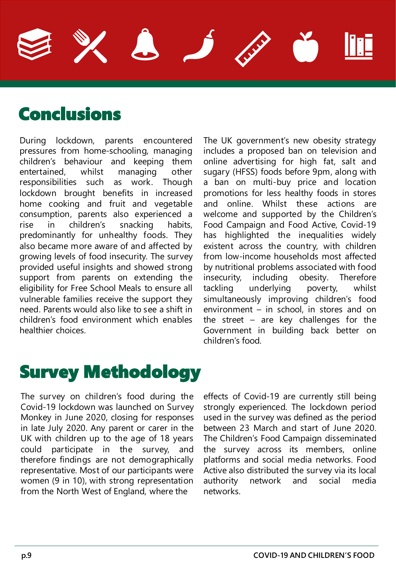## Conclusions

During lockdown, parents encountered pressures from home-schooling, managing children's behaviour and keeping them entertained, whilst managing other responsibilities such as work. Though lockdown brought benefits in increased home cooking and fruit and vegetable consumption, parents also experienced a rise in children's snacking habits, predominantly for unhealthy foods. They also became more aware of and affected by growing levels of food insecurity. The survey provided useful insights and showed strong support from parents on extending the eligibility for Free School Meals to ensure all vulnerable families receive the support they need. Parents would also like to see a shift in children's food environment which enables healthier choices.

The UK government's new obesity strategy includes a proposed ban on television and online advertising for high fat, salt and sugary (HFSS) foods before 9pm, along with a ban on multi-buy price and location promotions for less healthy foods in stores and online. Whilst these actions are welcome and supported by the Children's Food Campaign and Food Active, Covid-19 has highlighted the inequalities widely existent across the country, with children from low-income households most affected by nutritional problems associated with food insecurity, including obesity. Therefore tackling underlying poverty, whilst simultaneously improving children's food environment – in school, in stores and on the street – are key challenges for the Government in building back better on children's food.

## Survey Methodology

The survey on children's food during the Covid-19 lockdown was launched on Survey Monkey in June 2020, closing for responses in late July 2020. Any parent or carer in the UK with children up to the age of 18 years could participate in the survey, and therefore findings are not demographically representative. Most of our participants were women (9 in 10), with strong representation from the North West of England, where the

effects of Covid-19 are currently still being strongly experienced. The lockdown period used in the survey was defined as the period between 23 March and start of June 2020. The Children's Food Campaign disseminated the survey across its members, online platforms and social media networks. Food Active also distributed the survey via its local authority network and social media networks.